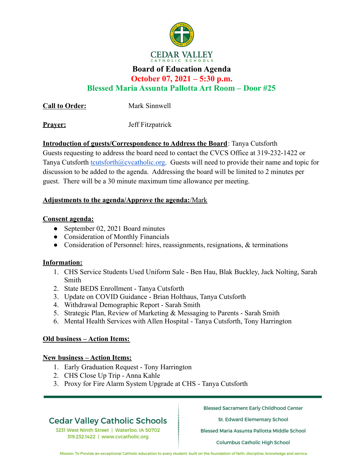

## **Board of Education Agenda**

**October 07, 2021 – 5:30 p.m.**

**Blessed Maria Assunta Pallotta Art Room – Door #25**

**Call to Order:** Mark Sinnwell

**Prayer:** Jeff Fitzpatrick

**Introduction of guests/Correspondence to Address the Board**: Tanya Cutsforth

Guests requesting to address the board need to contact the CVCS Office at 319-232-1422 or Tanya Cutsforth tcutsforth@cvcatholic.org. Guests will need to provide their name and topic for discussion to be added to the agenda. Addressing the board will be limited to 2 minutes per guest. There will be a 30 minute maximum time allowance per meeting.

### **Adjustments to the agenda/Approve the agenda:**/Mark

### **Consent agenda:**

- September 02, 2021 Board minutes
- Consideration of Monthly Financials
- Consideration of Personnel: hires, reassignments, resignations, & terminations

### **Information:**

- 1. CHS Service Students Used Uniform Sale Ben Hau, Blak Buckley, Jack Nolting, Sarah Smith
- 2. State BEDS Enrollment Tanya Cutsforth
- 3. Update on COVID Guidance Brian Holthaus, Tanya Cutsforth
- 4. Withdrawal Demographic Report Sarah Smith
- 5. Strategic Plan, Review of Marketing & Messaging to Parents Sarah Smith
- 6. Mental Health Services with Allen Hospital Tanya Cutsforth, Tony Harrington

## **Old business – Action Items:**

### **New business – Action Items:**

- 1. Early Graduation Request Tony Harrington
- 2. CHS Close Up Trip Anna Kahle
- 3. Proxy for Fire Alarm System Upgrade at CHS Tanya Cutsforth

# **Cedar Valley Catholic Schools**

3231 West Ninth Street | Waterloo, IA 50702 319.232.1422 | www.cvcatholic.org

**Blessed Sacrament Early Childhood Center** 

St. Edward Elementary School

Blessed Maria Assunta Pallotta Middle School

**Columbus Catholic High School** 

Mission: To Provide an exceptional Catholic education to every student, built on the foundation of faith, discipline, knowledge and service.